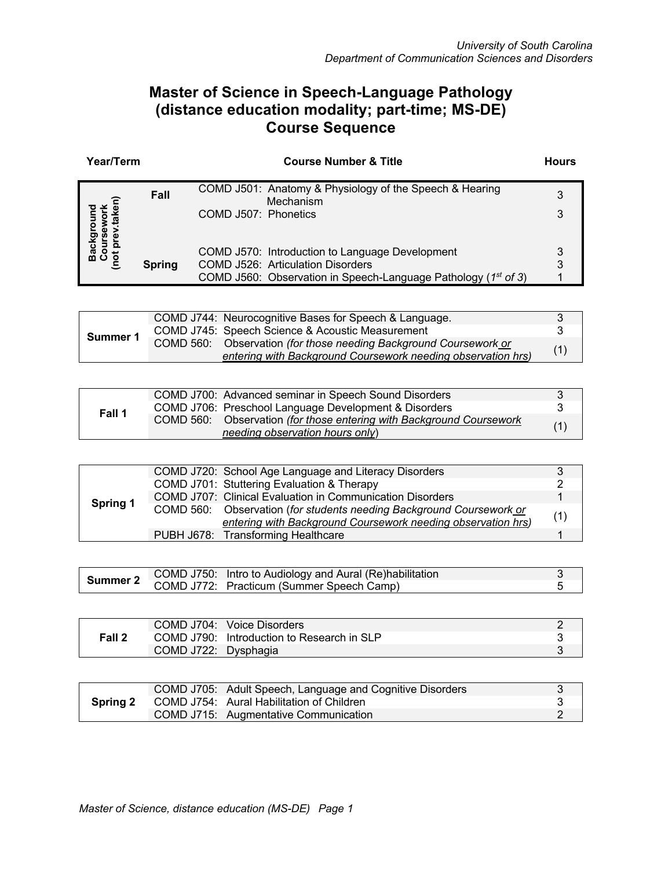## **Master of Science in Speech-Language Pathology (distance education modality; part-time; MS-DE) Course Sequence**

| Year/Term |               | <b>Course Number &amp; Title</b>                                                                                                                             | <b>Hours</b> |
|-----------|---------------|--------------------------------------------------------------------------------------------------------------------------------------------------------------|--------------|
|           | Fall          | COMD J501: Anatomy & Physiology of the Speech & Hearing<br>Mechanism<br>COMD J507: Phonetics                                                                 | 3<br>3       |
|           | <b>Spring</b> | COMD J570: Introduction to Language Development<br>COMD J526: Articulation Disorders<br>COMD J560: Observation in Speech-Language Pathology ( $1^{st}$ of 3) | 3            |

|          | COMD J744: Neurocognitive Bases for Speech & Language.                                                                            |     |
|----------|-----------------------------------------------------------------------------------------------------------------------------------|-----|
|          | COMD J745: Speech Science & Acoustic Measurement                                                                                  |     |
| Summer 1 | COMD 560: Observation (for those needing Background Coursework or<br>entering with Background Coursework needing observation hrs) | (1) |
|          |                                                                                                                                   |     |

|        | COMD J700: Advanced seminar in Speech Sound Disorders                |     |
|--------|----------------------------------------------------------------------|-----|
|        | COMD J706: Preschool Language Development & Disorders                |     |
| Fall 1 | COMD 560: Observation (for those entering with Background Coursework | (1) |
|        | needing observation hours only)                                      |     |

|                 | COMD J720: School Age Language and Literacy Disorders                |     |
|-----------------|----------------------------------------------------------------------|-----|
|                 | COMD J701: Stuttering Evaluation & Therapy                           |     |
|                 | COMD J707: Clinical Evaluation in Communication Disorders            |     |
| <b>Spring 1</b> | COMD 560: Observation (for students needing Background Coursework or | (1) |
|                 | entering with Background Coursework needing observation hrs)         |     |
|                 | PUBH J678: Transforming Healthcare                                   |     |

| Summer 2 | COMD J750: Intro to Audiology and Aural (Re)habilitation |  |
|----------|----------------------------------------------------------|--|
|          | COMD J772: Practicum (Summer Speech Camp)                |  |

|        |                      | COMD J704: Voice Disorders                 |  |
|--------|----------------------|--------------------------------------------|--|
| Fall 2 |                      | COMD J790: Introduction to Research in SLP |  |
|        | COMD J722: Dysphagia |                                            |  |

| <b>Spring 2</b> | COMD J705: Adult Speech, Language and Cognitive Disorders |  |
|-----------------|-----------------------------------------------------------|--|
|                 | COMD J754: Aural Habilitation of Children                 |  |
|                 | COMD J715: Augmentative Communication                     |  |